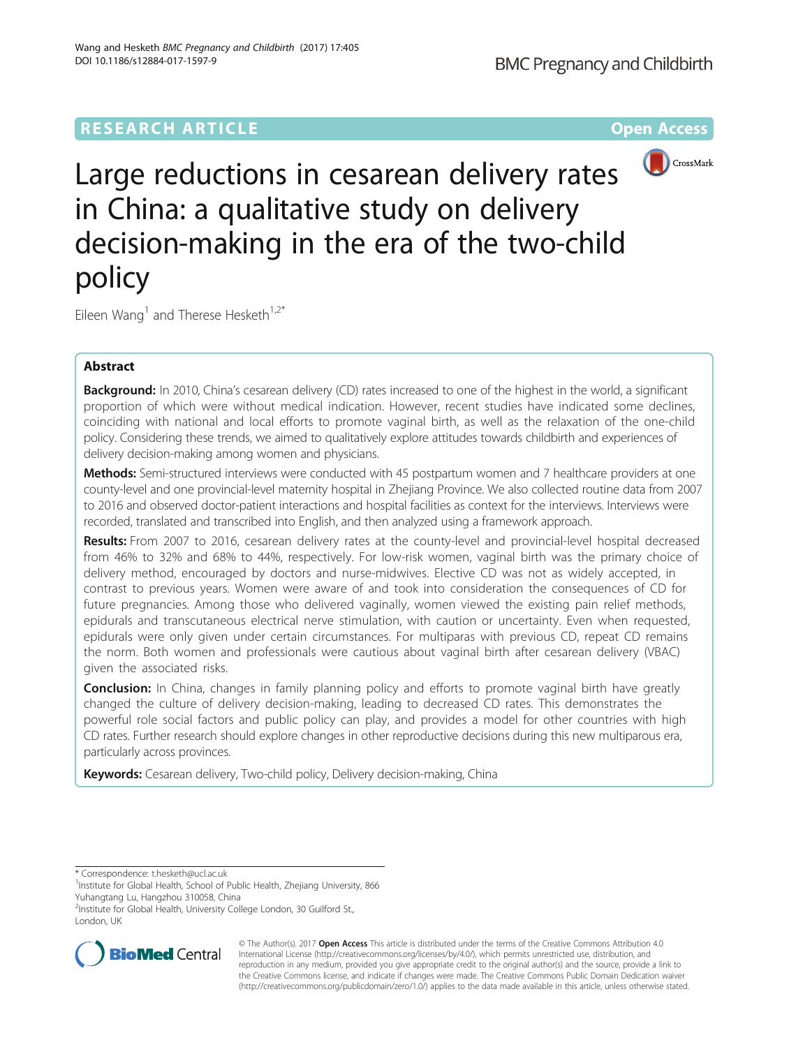# **RESEARCH ARTICLE Example 2014 12:30 The Contract of Contract ACCESS**



Large reductions in cesarean delivery rates in China: a qualitative study on delivery decision-making in the era of the two-child policy

Eileen Wang<sup>1</sup> and Therese Hesketh<sup>1,2\*</sup>

## Abstract

Background: In 2010, China's cesarean delivery (CD) rates increased to one of the highest in the world, a significant proportion of which were without medical indication. However, recent studies have indicated some declines, coinciding with national and local efforts to promote vaginal birth, as well as the relaxation of the one-child policy. Considering these trends, we aimed to qualitatively explore attitudes towards childbirth and experiences of delivery decision-making among women and physicians.

Methods: Semi-structured interviews were conducted with 45 postpartum women and 7 healthcare providers at one county-level and one provincial-level maternity hospital in Zhejiang Province. We also collected routine data from 2007 to 2016 and observed doctor-patient interactions and hospital facilities as context for the interviews. Interviews were recorded, translated and transcribed into English, and then analyzed using a framework approach.

Results: From 2007 to 2016, cesarean delivery rates at the county-level and provincial-level hospital decreased from 46% to 32% and 68% to 44%, respectively. For low-risk women, vaginal birth was the primary choice of delivery method, encouraged by doctors and nurse-midwives. Elective CD was not as widely accepted, in contrast to previous years. Women were aware of and took into consideration the consequences of CD for future pregnancies. Among those who delivered vaginally, women viewed the existing pain relief methods, epidurals and transcutaneous electrical nerve stimulation, with caution or uncertainty. Even when requested, epidurals were only given under certain circumstances. For multiparas with previous CD, repeat CD remains the norm. Both women and professionals were cautious about vaginal birth after cesarean delivery (VBAC) given the associated risks.

**Conclusion:** In China, changes in family planning policy and efforts to promote vaginal birth have greatly changed the culture of delivery decision-making, leading to decreased CD rates. This demonstrates the powerful role social factors and public policy can play, and provides a model for other countries with high CD rates. Further research should explore changes in other reproductive decisions during this new multiparous era, particularly across provinces.

Keywords: Cesarean delivery, Two-child policy, Delivery decision-making, China

\* Correspondence: [t.hesketh@ucl.ac.uk](mailto:t.hesketh@ucl.ac.uk) <sup>1</sup>

<sup>1</sup>Institute for Global Health, School of Public Health, Zhejiang University, 866 Yuhangtang Lu, Hangzhou 310058, China

<sup>&</sup>lt;sup>2</sup>Institute for Global Health, University College London, 30 Guilford St., London, UK



© The Author(s). 2017 **Open Access** This article is distributed under the terms of the Creative Commons Attribution 4.0 International License [\(http://creativecommons.org/licenses/by/4.0/](http://creativecommons.org/licenses/by/4.0/)), which permits unrestricted use, distribution, and reproduction in any medium, provided you give appropriate credit to the original author(s) and the source, provide a link to the Creative Commons license, and indicate if changes were made. The Creative Commons Public Domain Dedication waiver [\(http://creativecommons.org/publicdomain/zero/1.0/](http://creativecommons.org/publicdomain/zero/1.0/)) applies to the data made available in this article, unless otherwise stated.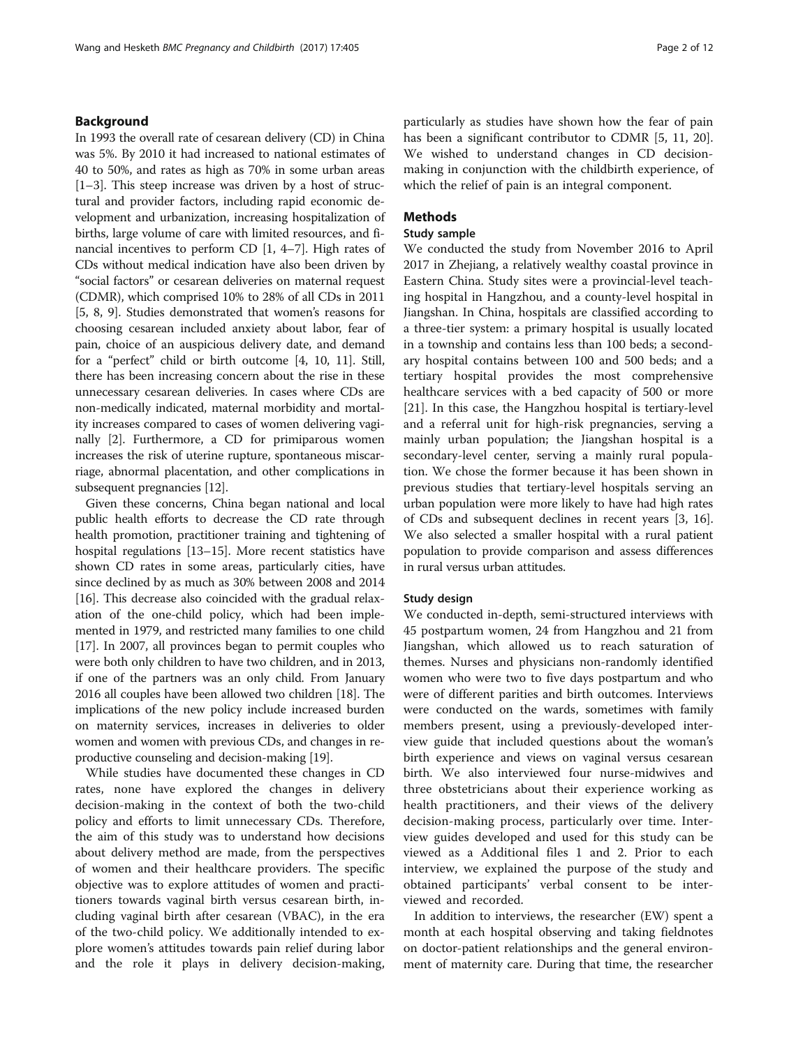### Background

In 1993 the overall rate of cesarean delivery (CD) in China was 5%. By 2010 it had increased to national estimates of 40 to 50%, and rates as high as 70% in some urban areas [[1](#page-10-0)–[3](#page-10-0)]. This steep increase was driven by a host of structural and provider factors, including rapid economic development and urbanization, increasing hospitalization of births, large volume of care with limited resources, and financial incentives to perform CD [\[1](#page-10-0), [4](#page-10-0)–[7](#page-10-0)]. High rates of CDs without medical indication have also been driven by "social factors" or cesarean deliveries on maternal request (CDMR), which comprised 10% to 28% of all CDs in 2011 [[5, 8](#page-10-0), [9](#page-10-0)]. Studies demonstrated that women's reasons for choosing cesarean included anxiety about labor, fear of pain, choice of an auspicious delivery date, and demand for a "perfect" child or birth outcome [[4](#page-10-0), [10, 11](#page-10-0)]. Still, there has been increasing concern about the rise in these unnecessary cesarean deliveries. In cases where CDs are non-medically indicated, maternal morbidity and mortality increases compared to cases of women delivering vaginally [[2](#page-10-0)]. Furthermore, a CD for primiparous women increases the risk of uterine rupture, spontaneous miscarriage, abnormal placentation, and other complications in subsequent pregnancies [\[12](#page-10-0)].

Given these concerns, China began national and local public health efforts to decrease the CD rate through health promotion, practitioner training and tightening of hospital regulations [[13](#page-10-0)–[15\]](#page-10-0). More recent statistics have shown CD rates in some areas, particularly cities, have since declined by as much as 30% between 2008 and 2014 [[16](#page-10-0)]. This decrease also coincided with the gradual relaxation of the one-child policy, which had been implemented in 1979, and restricted many families to one child [[17](#page-10-0)]. In 2007, all provinces began to permit couples who were both only children to have two children, and in 2013, if one of the partners was an only child. From January 2016 all couples have been allowed two children [[18\]](#page-10-0). The implications of the new policy include increased burden on maternity services, increases in deliveries to older women and women with previous CDs, and changes in reproductive counseling and decision-making [[19](#page-10-0)].

While studies have documented these changes in CD rates, none have explored the changes in delivery decision-making in the context of both the two-child policy and efforts to limit unnecessary CDs. Therefore, the aim of this study was to understand how decisions about delivery method are made, from the perspectives of women and their healthcare providers. The specific objective was to explore attitudes of women and practitioners towards vaginal birth versus cesarean birth, including vaginal birth after cesarean (VBAC), in the era of the two-child policy. We additionally intended to explore women's attitudes towards pain relief during labor and the role it plays in delivery decision-making, particularly as studies have shown how the fear of pain has been a significant contributor to CDMR [\[5, 11, 20](#page-10-0)]. We wished to understand changes in CD decisionmaking in conjunction with the childbirth experience, of which the relief of pain is an integral component.

### Methods

#### Study sample

We conducted the study from November 2016 to April 2017 in Zhejiang, a relatively wealthy coastal province in Eastern China. Study sites were a provincial-level teaching hospital in Hangzhou, and a county-level hospital in Jiangshan. In China, hospitals are classified according to a three-tier system: a primary hospital is usually located in a township and contains less than 100 beds; a secondary hospital contains between 100 and 500 beds; and a tertiary hospital provides the most comprehensive healthcare services with a bed capacity of 500 or more [[21\]](#page-10-0). In this case, the Hangzhou hospital is tertiary-level and a referral unit for high-risk pregnancies, serving a mainly urban population; the Jiangshan hospital is a secondary-level center, serving a mainly rural population. We chose the former because it has been shown in previous studies that tertiary-level hospitals serving an urban population were more likely to have had high rates of CDs and subsequent declines in recent years [[3](#page-10-0), [16](#page-10-0)]. We also selected a smaller hospital with a rural patient population to provide comparison and assess differences in rural versus urban attitudes.

#### Study design

We conducted in-depth, semi-structured interviews with 45 postpartum women, 24 from Hangzhou and 21 from Jiangshan, which allowed us to reach saturation of themes. Nurses and physicians non-randomly identified women who were two to five days postpartum and who were of different parities and birth outcomes. Interviews were conducted on the wards, sometimes with family members present, using a previously-developed interview guide that included questions about the woman's birth experience and views on vaginal versus cesarean birth. We also interviewed four nurse-midwives and three obstetricians about their experience working as health practitioners, and their views of the delivery decision-making process, particularly over time. Interview guides developed and used for this study can be viewed as a Additional files [1](#page-10-0) and [2](#page-10-0). Prior to each interview, we explained the purpose of the study and obtained participants' verbal consent to be interviewed and recorded.

In addition to interviews, the researcher (EW) spent a month at each hospital observing and taking fieldnotes on doctor-patient relationships and the general environment of maternity care. During that time, the researcher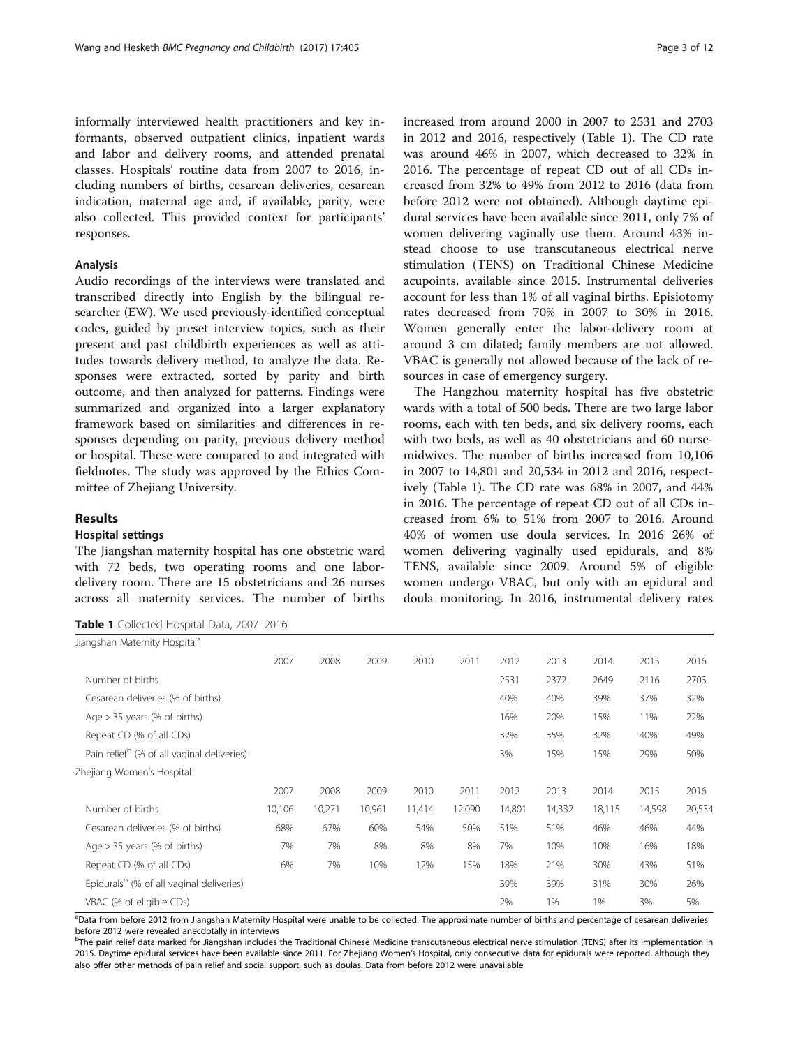<span id="page-2-0"></span>informally interviewed health practitioners and key informants, observed outpatient clinics, inpatient wards and labor and delivery rooms, and attended prenatal classes. Hospitals' routine data from 2007 to 2016, including numbers of births, cesarean deliveries, cesarean indication, maternal age and, if available, parity, were also collected. This provided context for participants' responses.

### Analysis

Audio recordings of the interviews were translated and transcribed directly into English by the bilingual researcher (EW). We used previously-identified conceptual codes, guided by preset interview topics, such as their present and past childbirth experiences as well as attitudes towards delivery method, to analyze the data. Responses were extracted, sorted by parity and birth outcome, and then analyzed for patterns. Findings were summarized and organized into a larger explanatory framework based on similarities and differences in responses depending on parity, previous delivery method or hospital. These were compared to and integrated with fieldnotes. The study was approved by the Ethics Committee of Zhejiang University.

### Results

### Hospital settings

The Jiangshan maternity hospital has one obstetric ward with 72 beds, two operating rooms and one labordelivery room. There are 15 obstetricians and 26 nurses across all maternity services. The number of births

|  | Table 1 Collected Hospital Data, 2007-2016 |  |  |  |  |
|--|--------------------------------------------|--|--|--|--|
|--|--------------------------------------------|--|--|--|--|

increased from around 2000 in 2007 to 2531 and 2703 in 2012 and 2016, respectively (Table 1). The CD rate was around 46% in 2007, which decreased to 32% in 2016. The percentage of repeat CD out of all CDs increased from 32% to 49% from 2012 to 2016 (data from before 2012 were not obtained). Although daytime epidural services have been available since 2011, only 7% of women delivering vaginally use them. Around 43% instead choose to use transcutaneous electrical nerve stimulation (TENS) on Traditional Chinese Medicine acupoints, available since 2015. Instrumental deliveries account for less than 1% of all vaginal births. Episiotomy rates decreased from 70% in 2007 to 30% in 2016. Women generally enter the labor-delivery room at around 3 cm dilated; family members are not allowed. VBAC is generally not allowed because of the lack of resources in case of emergency surgery.

The Hangzhou maternity hospital has five obstetric wards with a total of 500 beds. There are two large labor rooms, each with ten beds, and six delivery rooms, each with two beds, as well as 40 obstetricians and 60 nursemidwives. The number of births increased from 10,106 in 2007 to 14,801 and 20,534 in 2012 and 2016, respectively (Table 1). The CD rate was 68% in 2007, and 44% in 2016. The percentage of repeat CD out of all CDs increased from 6% to 51% from 2007 to 2016. Around 40% of women use doula services. In 2016 26% of women delivering vaginally used epidurals, and 8% TENS, available since 2009. Around 5% of eligible women undergo VBAC, but only with an epidural and doula monitoring. In 2016, instrumental delivery rates

| Jiangshan Maternity Hospital <sup>d</sup>              |        |        |        |        |        |        |        |        |        |        |
|--------------------------------------------------------|--------|--------|--------|--------|--------|--------|--------|--------|--------|--------|
|                                                        | 2007   | 2008   | 2009   | 2010   | 2011   | 2012   | 2013   | 2014   | 2015   | 2016   |
| Number of births                                       |        |        |        |        |        | 2531   | 2372   | 2649   | 2116   | 2703   |
| Cesarean deliveries (% of births)                      |        |        |        |        |        | 40%    | 40%    | 39%    | 37%    | 32%    |
| Age $> 35$ years (% of births)                         |        |        |        |        |        | 16%    | 20%    | 15%    | 11%    | 22%    |
| Repeat CD (% of all CDs)                               |        |        |        |        |        | 32%    | 35%    | 32%    | 40%    | 49%    |
| Pain relief <sup>b</sup> (% of all vaginal deliveries) |        |        |        |        |        | 3%     | 15%    | 15%    | 29%    | 50%    |
| Zhejiang Women's Hospital                              |        |        |        |        |        |        |        |        |        |        |
|                                                        | 2007   | 2008   | 2009   | 2010   | 2011   | 2012   | 2013   | 2014   | 2015   | 2016   |
| Number of births                                       | 10,106 | 10,271 | 10,961 | 11,414 | 12,090 | 14,801 | 14,332 | 18,115 | 14,598 | 20,534 |
| Cesarean deliveries (% of births)                      | 68%    | 67%    | 60%    | 54%    | 50%    | 51%    | 51%    | 46%    | 46%    | 44%    |
| Age $> 35$ years (% of births)                         | 7%     | 7%     | 8%     | 8%     | 8%     | 7%     | 10%    | 10%    | 16%    | 18%    |
| Repeat CD (% of all CDs)                               | 6%     | 7%     | 10%    | 12%    | 15%    | 18%    | 21%    | 30%    | 43%    | 51%    |
| Epidurals <sup>b</sup> (% of all vaginal deliveries)   |        |        |        |        |        | 39%    | 39%    | 31%    | 30%    | 26%    |
| VBAC (% of eligible CDs)                               |        |        |        |        |        | 2%     | 1%     | 1%     | 3%     | 5%     |

a<br>Pata from before 2012 from Jiangshan Maternity Hospital were unable to be collected. The approximate number of births and percentage of cesarean deliveries before 2012 were revealed anecdotally in interviews

bThe pain relief data marked for Jiangshan includes the Traditional Chinese Medicine transcutaneous electrical nerve stimulation (TENS) after its implementation in 2015. Daytime epidural services have been available since 2011. For Zhejiang Women's Hospital, only consecutive data for epidurals were reported, although they also offer other methods of pain relief and social support, such as doulas. Data from before 2012 were unavailable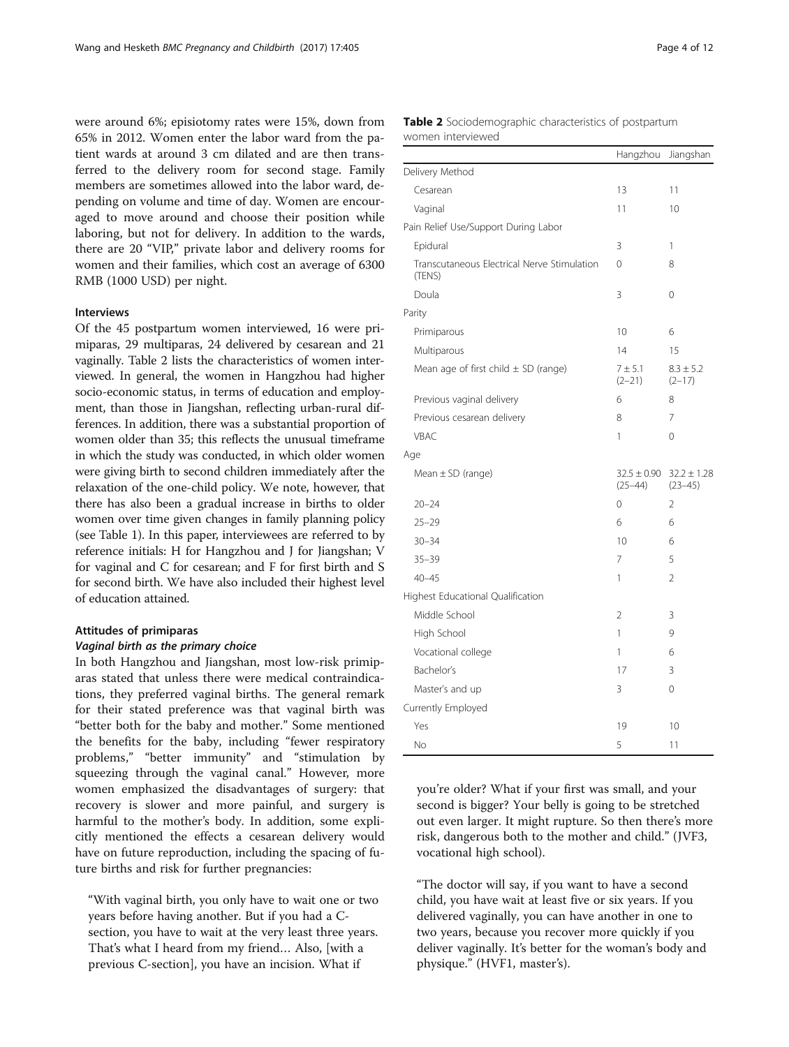were around 6%; episiotomy rates were 15%, down from 65% in 2012. Women enter the labor ward from the patient wards at around 3 cm dilated and are then transferred to the delivery room for second stage. Family members are sometimes allowed into the labor ward, depending on volume and time of day. Women are encouraged to move around and choose their position while laboring, but not for delivery. In addition to the wards, there are 20 "VIP," private labor and delivery rooms for women and their families, which cost an average of 6300 RMB (1000 USD) per night.

### Interviews

Of the 45 postpartum women interviewed, 16 were primiparas, 29 multiparas, 24 delivered by cesarean and 21 vaginally. Table 2 lists the characteristics of women interviewed. In general, the women in Hangzhou had higher socio-economic status, in terms of education and employment, than those in Jiangshan, reflecting urban-rural differences. In addition, there was a substantial proportion of women older than 35; this reflects the unusual timeframe in which the study was conducted, in which older women were giving birth to second children immediately after the relaxation of the one-child policy. We note, however, that there has also been a gradual increase in births to older women over time given changes in family planning policy (see Table [1](#page-2-0)). In this paper, interviewees are referred to by reference initials: H for Hangzhou and J for Jiangshan; V for vaginal and C for cesarean; and F for first birth and S for second birth. We have also included their highest level of education attained.

#### Attitudes of primiparas

#### Vaginal birth as the primary choice

In both Hangzhou and Jiangshan, most low-risk primiparas stated that unless there were medical contraindications, they preferred vaginal births. The general remark for their stated preference was that vaginal birth was "better both for the baby and mother." Some mentioned the benefits for the baby, including "fewer respiratory problems," "better immunity" and "stimulation by squeezing through the vaginal canal." However, more women emphasized the disadvantages of surgery: that recovery is slower and more painful, and surgery is harmful to the mother's body. In addition, some explicitly mentioned the effects a cesarean delivery would have on future reproduction, including the spacing of future births and risk for further pregnancies:

"With vaginal birth, you only have to wait one or two years before having another. But if you had a Csection, you have to wait at the very least three years. That's what I heard from my friend… Also, [with a previous C-section], you have an incision. What if

#### Table 2 Sociodemographic characteristics of postpartum women interviewed

|                                                       | Hangzhou                       | Jiangshan                      |
|-------------------------------------------------------|--------------------------------|--------------------------------|
| Delivery Method                                       |                                |                                |
| Cesarean                                              | 13                             | 11                             |
| Vaginal                                               | 11                             | 10                             |
| Pain Relief Use/Support During Labor                  |                                |                                |
| Epidural                                              | 3                              | 1                              |
| Transcutaneous Electrical Nerve Stimulation<br>(TENS) | 0                              | 8                              |
| Doula                                                 | 3                              | 0                              |
| Parity                                                |                                |                                |
| Primiparous                                           | 10 <sup>1</sup>                | 6                              |
| Multiparous                                           | 14                             | 15                             |
| Mean age of first child $\pm$ SD (range)              | 7 ± 5.1<br>$(2-21)$            | $8.3 \pm 5.2$<br>$(2-17)$      |
| Previous vaginal delivery                             | 6                              | 8                              |
| Previous cesarean delivery                            | 8                              | 7                              |
| <b>VBAC</b>                                           | 1                              | $\Omega$                       |
| Age                                                   |                                |                                |
| Mean $\pm$ SD (range)                                 | $32.5 \pm 0.90$<br>$(25 - 44)$ | $32.2 \pm 1.28$<br>$(23 - 45)$ |
| $20 - 24$                                             | 0                              | 2                              |
| $25 - 29$                                             | 6                              | 6                              |
| $30 - 34$                                             | 10                             | 6                              |
| $35 - 39$                                             | 7                              | 5                              |
| $40 - 45$                                             | 1                              | $\overline{2}$                 |
| Highest Educational Qualification                     |                                |                                |
| Middle School                                         | $\overline{2}$                 | 3                              |
| High School                                           | 1                              | 9                              |
| Vocational college                                    | 1                              | 6                              |
| Bachelor's                                            | 17                             | 3                              |
| Master's and up                                       | 3                              | $\Omega$                       |
| Currently Employed                                    |                                |                                |
| Yes                                                   | 19                             | 10                             |
| No                                                    | 5                              | 11                             |

you're older? What if your first was small, and your second is bigger? Your belly is going to be stretched out even larger. It might rupture. So then there's more risk, dangerous both to the mother and child." (JVF3, vocational high school).

"The doctor will say, if you want to have a second child, you have wait at least five or six years. If you delivered vaginally, you can have another in one to two years, because you recover more quickly if you deliver vaginally. It's better for the woman's body and physique." (HVF1, master's).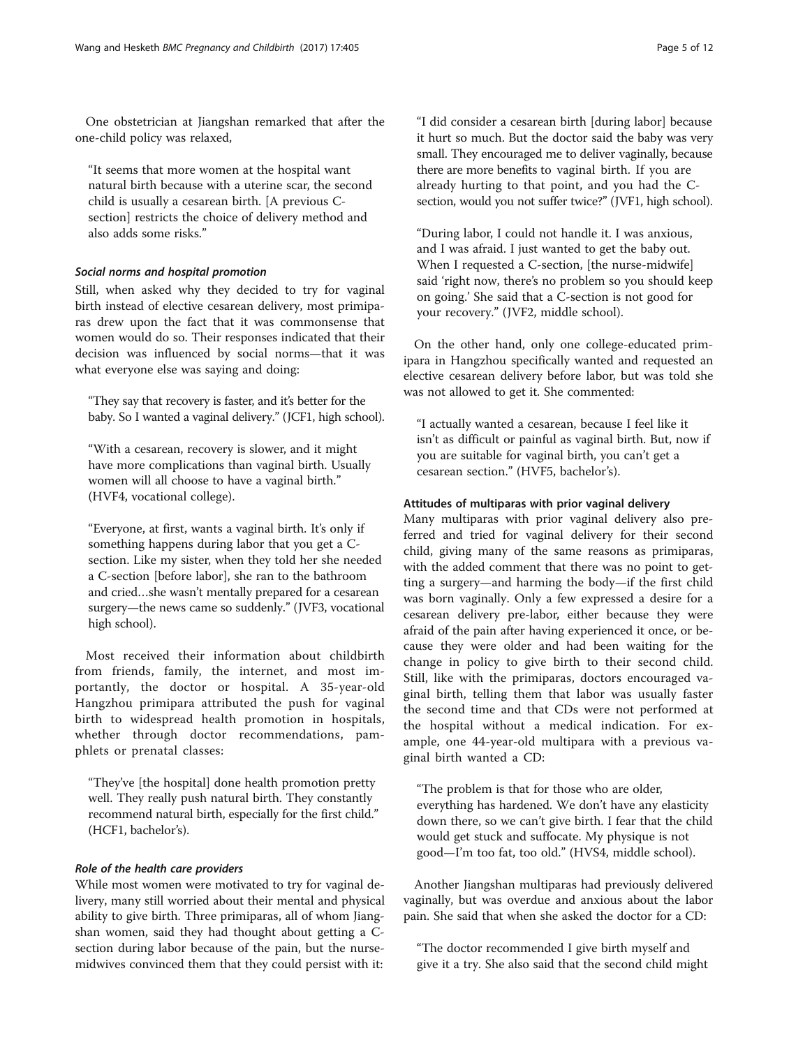One obstetrician at Jiangshan remarked that after the one-child policy was relaxed,

"It seems that more women at the hospital want natural birth because with a uterine scar, the second child is usually a cesarean birth. [A previous Csection] restricts the choice of delivery method and also adds some risks."

### Social norms and hospital promotion

Still, when asked why they decided to try for vaginal birth instead of elective cesarean delivery, most primiparas drew upon the fact that it was commonsense that women would do so. Their responses indicated that their decision was influenced by social norms—that it was what everyone else was saying and doing:

"They say that recovery is faster, and it's better for the baby. So I wanted a vaginal delivery." (JCF1, high school).

"With a cesarean, recovery is slower, and it might have more complications than vaginal birth. Usually women will all choose to have a vaginal birth." (HVF4, vocational college).

"Everyone, at first, wants a vaginal birth. It's only if something happens during labor that you get a Csection. Like my sister, when they told her she needed a C-section [before labor], she ran to the bathroom and cried…she wasn't mentally prepared for a cesarean surgery—the news came so suddenly." (JVF3, vocational high school).

Most received their information about childbirth from friends, family, the internet, and most importantly, the doctor or hospital. A 35-year-old Hangzhou primipara attributed the push for vaginal birth to widespread health promotion in hospitals, whether through doctor recommendations, pamphlets or prenatal classes:

"They've [the hospital] done health promotion pretty well. They really push natural birth. They constantly recommend natural birth, especially for the first child." (HCF1, bachelor's).

#### Role of the health care providers

While most women were motivated to try for vaginal delivery, many still worried about their mental and physical ability to give birth. Three primiparas, all of whom Jiangshan women, said they had thought about getting a Csection during labor because of the pain, but the nursemidwives convinced them that they could persist with it:

"I did consider a cesarean birth [during labor] because it hurt so much. But the doctor said the baby was very small. They encouraged me to deliver vaginally, because there are more benefits to vaginal birth. If you are already hurting to that point, and you had the Csection, would you not suffer twice?" (JVF1, high school).

"During labor, I could not handle it. I was anxious, and I was afraid. I just wanted to get the baby out. When I requested a C-section, [the nurse-midwife] said 'right now, there's no problem so you should keep on going.' She said that a C-section is not good for your recovery." (JVF2, middle school).

On the other hand, only one college-educated primipara in Hangzhou specifically wanted and requested an elective cesarean delivery before labor, but was told she was not allowed to get it. She commented:

"I actually wanted a cesarean, because I feel like it isn't as difficult or painful as vaginal birth. But, now if you are suitable for vaginal birth, you can't get a cesarean section." (HVF5, bachelor's).

### Attitudes of multiparas with prior vaginal delivery

Many multiparas with prior vaginal delivery also preferred and tried for vaginal delivery for their second child, giving many of the same reasons as primiparas, with the added comment that there was no point to getting a surgery—and harming the body—if the first child was born vaginally. Only a few expressed a desire for a cesarean delivery pre-labor, either because they were afraid of the pain after having experienced it once, or because they were older and had been waiting for the change in policy to give birth to their second child. Still, like with the primiparas, doctors encouraged vaginal birth, telling them that labor was usually faster the second time and that CDs were not performed at the hospital without a medical indication. For example, one 44-year-old multipara with a previous vaginal birth wanted a CD:

"The problem is that for those who are older, everything has hardened. We don't have any elasticity down there, so we can't give birth. I fear that the child would get stuck and suffocate. My physique is not good—I'm too fat, too old." (HVS4, middle school).

Another Jiangshan multiparas had previously delivered vaginally, but was overdue and anxious about the labor pain. She said that when she asked the doctor for a CD:

"The doctor recommended I give birth myself and give it a try. She also said that the second child might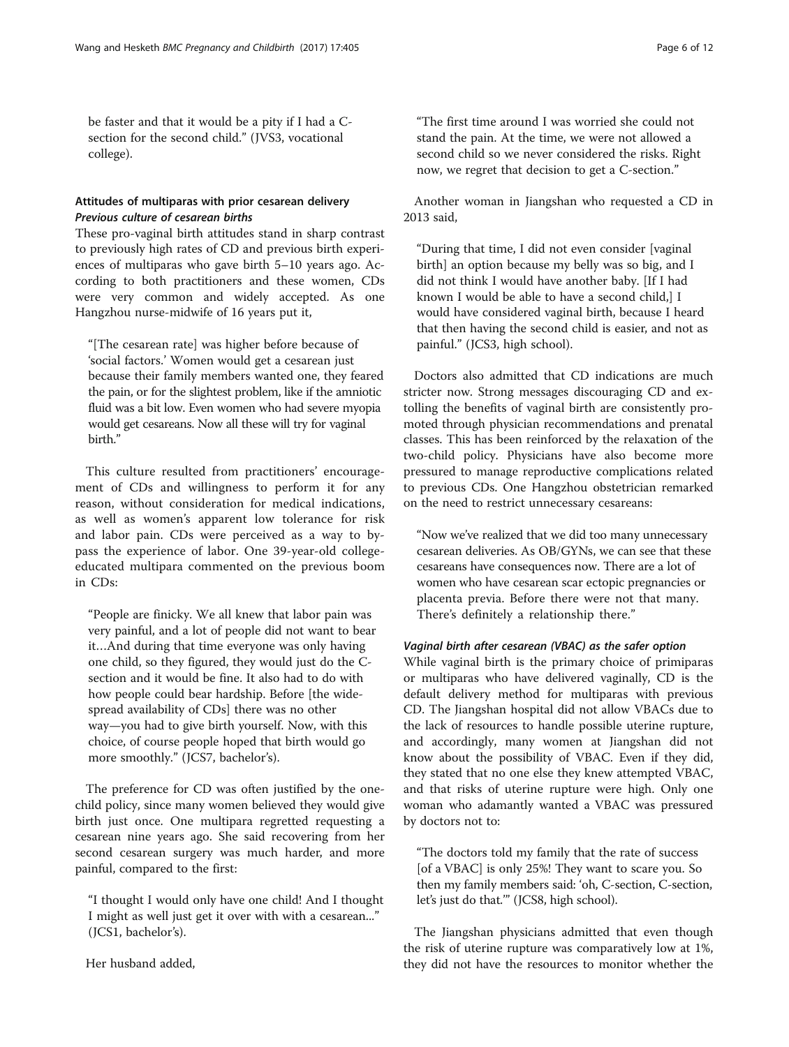be faster and that it would be a pity if I had a Csection for the second child." (JVS3, vocational college).

### Attitudes of multiparas with prior cesarean delivery Previous culture of cesarean births

These pro-vaginal birth attitudes stand in sharp contrast to previously high rates of CD and previous birth experiences of multiparas who gave birth 5–10 years ago. According to both practitioners and these women, CDs were very common and widely accepted. As one Hangzhou nurse-midwife of 16 years put it,

"[The cesarean rate] was higher before because of 'social factors.' Women would get a cesarean just because their family members wanted one, they feared the pain, or for the slightest problem, like if the amniotic fluid was a bit low. Even women who had severe myopia would get cesareans. Now all these will try for vaginal birth."

This culture resulted from practitioners' encouragement of CDs and willingness to perform it for any reason, without consideration for medical indications, as well as women's apparent low tolerance for risk and labor pain. CDs were perceived as a way to bypass the experience of labor. One 39-year-old collegeeducated multipara commented on the previous boom in CDs:

"People are finicky. We all knew that labor pain was very painful, and a lot of people did not want to bear it…And during that time everyone was only having one child, so they figured, they would just do the Csection and it would be fine. It also had to do with how people could bear hardship. Before [the widespread availability of CDs] there was no other way—you had to give birth yourself. Now, with this choice, of course people hoped that birth would go more smoothly." (JCS7, bachelor's).

The preference for CD was often justified by the onechild policy, since many women believed they would give birth just once. One multipara regretted requesting a cesarean nine years ago. She said recovering from her second cesarean surgery was much harder, and more painful, compared to the first:

"I thought I would only have one child! And I thought I might as well just get it over with with a cesarean..." (JCS1, bachelor's).

Her husband added,

"The first time around I was worried she could not stand the pain. At the time, we were not allowed a second child so we never considered the risks. Right now, we regret that decision to get a C-section."

Another woman in Jiangshan who requested a CD in 2013 said,

"During that time, I did not even consider [vaginal birth] an option because my belly was so big, and I did not think I would have another baby. [If I had known I would be able to have a second child,] I would have considered vaginal birth, because I heard that then having the second child is easier, and not as painful." (JCS3, high school).

Doctors also admitted that CD indications are much stricter now. Strong messages discouraging CD and extolling the benefits of vaginal birth are consistently promoted through physician recommendations and prenatal classes. This has been reinforced by the relaxation of the two-child policy. Physicians have also become more pressured to manage reproductive complications related to previous CDs. One Hangzhou obstetrician remarked on the need to restrict unnecessary cesareans:

"Now we've realized that we did too many unnecessary cesarean deliveries. As OB/GYNs, we can see that these cesareans have consequences now. There are a lot of women who have cesarean scar ectopic pregnancies or placenta previa. Before there were not that many. There's definitely a relationship there."

### Vaginal birth after cesarean (VBAC) as the safer option

While vaginal birth is the primary choice of primiparas or multiparas who have delivered vaginally, CD is the default delivery method for multiparas with previous CD. The Jiangshan hospital did not allow VBACs due to the lack of resources to handle possible uterine rupture, and accordingly, many women at Jiangshan did not know about the possibility of VBAC. Even if they did, they stated that no one else they knew attempted VBAC, and that risks of uterine rupture were high. Only one woman who adamantly wanted a VBAC was pressured by doctors not to:

"The doctors told my family that the rate of success [of a VBAC] is only 25%! They want to scare you. So then my family members said: 'oh, C-section, C-section, let's just do that.'" (JCS8, high school).

The Jiangshan physicians admitted that even though the risk of uterine rupture was comparatively low at 1%, they did not have the resources to monitor whether the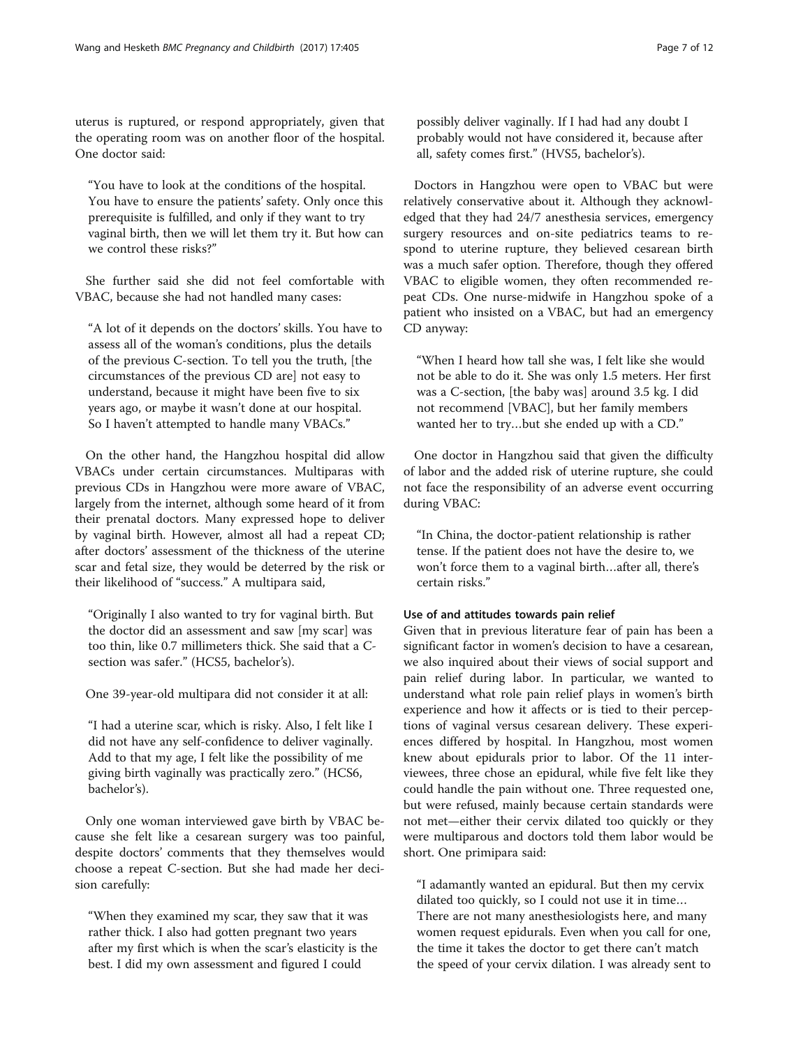uterus is ruptured, or respond appropriately, given that the operating room was on another floor of the hospital. One doctor said:

"You have to look at the conditions of the hospital. You have to ensure the patients' safety. Only once this prerequisite is fulfilled, and only if they want to try vaginal birth, then we will let them try it. But how can we control these risks?"

She further said she did not feel comfortable with VBAC, because she had not handled many cases:

"A lot of it depends on the doctors' skills. You have to assess all of the woman's conditions, plus the details of the previous C-section. To tell you the truth, [the circumstances of the previous CD are] not easy to understand, because it might have been five to six years ago, or maybe it wasn't done at our hospital. So I haven't attempted to handle many VBACs."

On the other hand, the Hangzhou hospital did allow VBACs under certain circumstances. Multiparas with previous CDs in Hangzhou were more aware of VBAC, largely from the internet, although some heard of it from their prenatal doctors. Many expressed hope to deliver by vaginal birth. However, almost all had a repeat CD; after doctors' assessment of the thickness of the uterine scar and fetal size, they would be deterred by the risk or their likelihood of "success." A multipara said,

"Originally I also wanted to try for vaginal birth. But the doctor did an assessment and saw [my scar] was too thin, like 0.7 millimeters thick. She said that a Csection was safer." (HCS5, bachelor's).

One 39-year-old multipara did not consider it at all:

"I had a uterine scar, which is risky. Also, I felt like I did not have any self-confidence to deliver vaginally. Add to that my age, I felt like the possibility of me giving birth vaginally was practically zero." (HCS6, bachelor's).

Only one woman interviewed gave birth by VBAC because she felt like a cesarean surgery was too painful, despite doctors' comments that they themselves would choose a repeat C-section. But she had made her decision carefully:

"When they examined my scar, they saw that it was rather thick. I also had gotten pregnant two years after my first which is when the scar's elasticity is the best. I did my own assessment and figured I could

Doctors in Hangzhou were open to VBAC but were relatively conservative about it. Although they acknowledged that they had 24/7 anesthesia services, emergency surgery resources and on-site pediatrics teams to respond to uterine rupture, they believed cesarean birth was a much safer option. Therefore, though they offered VBAC to eligible women, they often recommended repeat CDs. One nurse-midwife in Hangzhou spoke of a patient who insisted on a VBAC, but had an emergency CD anyway:

all, safety comes first." (HVS5, bachelor's).

"When I heard how tall she was, I felt like she would not be able to do it. She was only 1.5 meters. Her first was a C-section, [the baby was] around 3.5 kg. I did not recommend [VBAC], but her family members wanted her to try…but she ended up with a CD."

One doctor in Hangzhou said that given the difficulty of labor and the added risk of uterine rupture, she could not face the responsibility of an adverse event occurring during VBAC:

"In China, the doctor-patient relationship is rather tense. If the patient does not have the desire to, we won't force them to a vaginal birth…after all, there's certain risks."

### Use of and attitudes towards pain relief

Given that in previous literature fear of pain has been a significant factor in women's decision to have a cesarean, we also inquired about their views of social support and pain relief during labor. In particular, we wanted to understand what role pain relief plays in women's birth experience and how it affects or is tied to their perceptions of vaginal versus cesarean delivery. These experiences differed by hospital. In Hangzhou, most women knew about epidurals prior to labor. Of the 11 interviewees, three chose an epidural, while five felt like they could handle the pain without one. Three requested one, but were refused, mainly because certain standards were not met—either their cervix dilated too quickly or they were multiparous and doctors told them labor would be short. One primipara said:

"I adamantly wanted an epidural. But then my cervix dilated too quickly, so I could not use it in time… There are not many anesthesiologists here, and many women request epidurals. Even when you call for one, the time it takes the doctor to get there can't match the speed of your cervix dilation. I was already sent to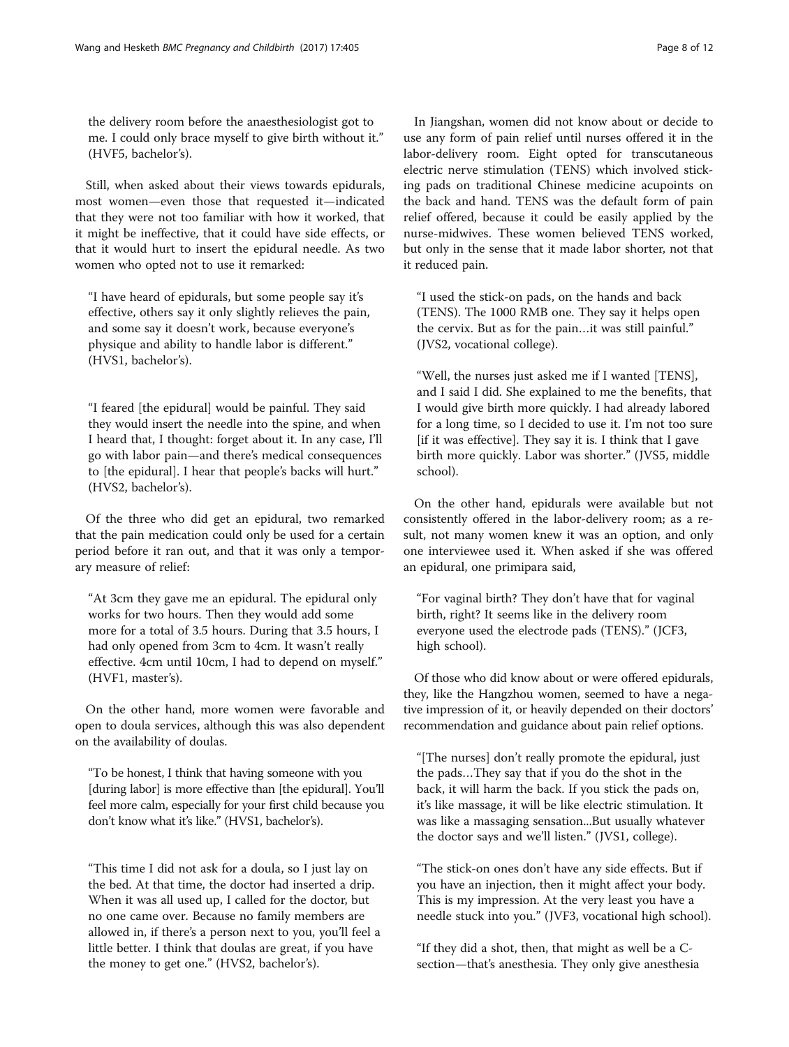the delivery room before the anaesthesiologist got to me. I could only brace myself to give birth without it." (HVF5, bachelor's).

Still, when asked about their views towards epidurals, most women—even those that requested it—indicated that they were not too familiar with how it worked, that it might be ineffective, that it could have side effects, or that it would hurt to insert the epidural needle. As two women who opted not to use it remarked:

"I have heard of epidurals, but some people say it's effective, others say it only slightly relieves the pain, and some say it doesn't work, because everyone's physique and ability to handle labor is different." (HVS1, bachelor's).

"I feared [the epidural] would be painful. They said they would insert the needle into the spine, and when I heard that, I thought: forget about it. In any case, I'll go with labor pain—and there's medical consequences to [the epidural]. I hear that people's backs will hurt." (HVS2, bachelor's).

Of the three who did get an epidural, two remarked that the pain medication could only be used for a certain period before it ran out, and that it was only a temporary measure of relief:

"At 3cm they gave me an epidural. The epidural only works for two hours. Then they would add some more for a total of 3.5 hours. During that 3.5 hours, I had only opened from 3cm to 4cm. It wasn't really effective. 4cm until 10cm, I had to depend on myself." (HVF1, master's).

On the other hand, more women were favorable and open to doula services, although this was also dependent on the availability of doulas.

"To be honest, I think that having someone with you [during labor] is more effective than [the epidural]. You'll feel more calm, especially for your first child because you don't know what it's like." (HVS1, bachelor's).

"This time I did not ask for a doula, so I just lay on the bed. At that time, the doctor had inserted a drip. When it was all used up, I called for the doctor, but no one came over. Because no family members are allowed in, if there's a person next to you, you'll feel a little better. I think that doulas are great, if you have the money to get one." (HVS2, bachelor's).

In Jiangshan, women did not know about or decide to use any form of pain relief until nurses offered it in the labor-delivery room. Eight opted for transcutaneous electric nerve stimulation (TENS) which involved sticking pads on traditional Chinese medicine acupoints on the back and hand. TENS was the default form of pain relief offered, because it could be easily applied by the nurse-midwives. These women believed TENS worked, but only in the sense that it made labor shorter, not that it reduced pain.

"I used the stick-on pads, on the hands and back (TENS). The 1000 RMB one. They say it helps open the cervix. But as for the pain…it was still painful." (JVS2, vocational college).

"Well, the nurses just asked me if I wanted [TENS], and I said I did. She explained to me the benefits, that I would give birth more quickly. I had already labored for a long time, so I decided to use it. I'm not too sure [if it was effective]. They say it is. I think that I gave birth more quickly. Labor was shorter." (JVS5, middle school).

On the other hand, epidurals were available but not consistently offered in the labor-delivery room; as a result, not many women knew it was an option, and only one interviewee used it. When asked if she was offered an epidural, one primipara said,

"For vaginal birth? They don't have that for vaginal birth, right? It seems like in the delivery room everyone used the electrode pads (TENS)." (JCF3, high school).

Of those who did know about or were offered epidurals, they, like the Hangzhou women, seemed to have a negative impression of it, or heavily depended on their doctors' recommendation and guidance about pain relief options.

"[The nurses] don't really promote the epidural, just the pads…They say that if you do the shot in the back, it will harm the back. If you stick the pads on, it's like massage, it will be like electric stimulation. It was like a massaging sensation...But usually whatever the doctor says and we'll listen." (JVS1, college).

"The stick-on ones don't have any side effects. But if you have an injection, then it might affect your body. This is my impression. At the very least you have a needle stuck into you." (JVF3, vocational high school).

"If they did a shot, then, that might as well be a Csection—that's anesthesia. They only give anesthesia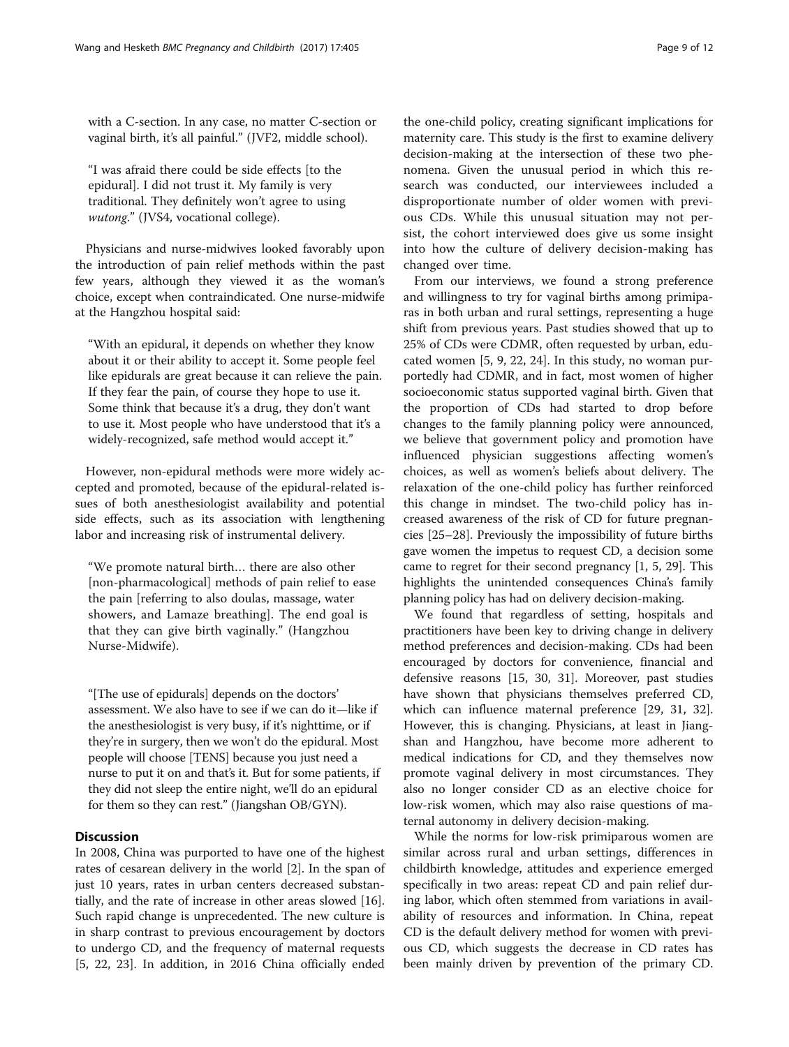with a C-section. In any case, no matter C-section or vaginal birth, it's all painful." (JVF2, middle school).

"I was afraid there could be side effects [to the epidural]. I did not trust it. My family is very traditional. They definitely won't agree to using wutong." (JVS4, vocational college).

Physicians and nurse-midwives looked favorably upon the introduction of pain relief methods within the past few years, although they viewed it as the woman's choice, except when contraindicated. One nurse-midwife at the Hangzhou hospital said:

"With an epidural, it depends on whether they know about it or their ability to accept it. Some people feel like epidurals are great because it can relieve the pain. If they fear the pain, of course they hope to use it. Some think that because it's a drug, they don't want to use it. Most people who have understood that it's a widely-recognized, safe method would accept it."

However, non-epidural methods were more widely accepted and promoted, because of the epidural-related issues of both anesthesiologist availability and potential side effects, such as its association with lengthening labor and increasing risk of instrumental delivery.

"We promote natural birth… there are also other [non-pharmacological] methods of pain relief to ease the pain [referring to also doulas, massage, water showers, and Lamaze breathing]. The end goal is that they can give birth vaginally." (Hangzhou Nurse-Midwife).

"[The use of epidurals] depends on the doctors' assessment. We also have to see if we can do it—like if the anesthesiologist is very busy, if it's nighttime, or if they're in surgery, then we won't do the epidural. Most people will choose [TENS] because you just need a nurse to put it on and that's it. But for some patients, if they did not sleep the entire night, we'll do an epidural for them so they can rest." (Jiangshan OB/GYN).

### **Discussion**

In 2008, China was purported to have one of the highest rates of cesarean delivery in the world [[2\]](#page-10-0). In the span of just 10 years, rates in urban centers decreased substantially, and the rate of increase in other areas slowed [\[16](#page-10-0)]. Such rapid change is unprecedented. The new culture is in sharp contrast to previous encouragement by doctors to undergo CD, and the frequency of maternal requests [[5, 22](#page-10-0), [23\]](#page-10-0). In addition, in 2016 China officially ended

the one-child policy, creating significant implications for maternity care. This study is the first to examine delivery decision-making at the intersection of these two phenomena. Given the unusual period in which this research was conducted, our interviewees included a disproportionate number of older women with previous CDs. While this unusual situation may not persist, the cohort interviewed does give us some insight into how the culture of delivery decision-making has changed over time.

From our interviews, we found a strong preference and willingness to try for vaginal births among primiparas in both urban and rural settings, representing a huge shift from previous years. Past studies showed that up to 25% of CDs were CDMR, often requested by urban, educated women [\[5](#page-10-0), [9](#page-10-0), [22](#page-10-0), [24\]](#page-10-0). In this study, no woman purportedly had CDMR, and in fact, most women of higher socioeconomic status supported vaginal birth. Given that the proportion of CDs had started to drop before changes to the family planning policy were announced, we believe that government policy and promotion have influenced physician suggestions affecting women's choices, as well as women's beliefs about delivery. The relaxation of the one-child policy has further reinforced this change in mindset. The two-child policy has increased awareness of the risk of CD for future pregnancies [\[25](#page-10-0)–[28\]](#page-10-0). Previously the impossibility of future births gave women the impetus to request CD, a decision some came to regret for their second pregnancy [\[1](#page-10-0), [5](#page-10-0), [29](#page-10-0)]. This highlights the unintended consequences China's family planning policy has had on delivery decision-making.

We found that regardless of setting, hospitals and practitioners have been key to driving change in delivery method preferences and decision-making. CDs had been encouraged by doctors for convenience, financial and defensive reasons [[15, 30,](#page-10-0) [31\]](#page-11-0). Moreover, past studies have shown that physicians themselves preferred CD, which can influence maternal preference [[29,](#page-10-0) [31](#page-11-0), [32](#page-11-0)]. However, this is changing. Physicians, at least in Jiangshan and Hangzhou, have become more adherent to medical indications for CD, and they themselves now promote vaginal delivery in most circumstances. They also no longer consider CD as an elective choice for low-risk women, which may also raise questions of maternal autonomy in delivery decision-making.

While the norms for low-risk primiparous women are similar across rural and urban settings, differences in childbirth knowledge, attitudes and experience emerged specifically in two areas: repeat CD and pain relief during labor, which often stemmed from variations in availability of resources and information. In China, repeat CD is the default delivery method for women with previous CD, which suggests the decrease in CD rates has been mainly driven by prevention of the primary CD.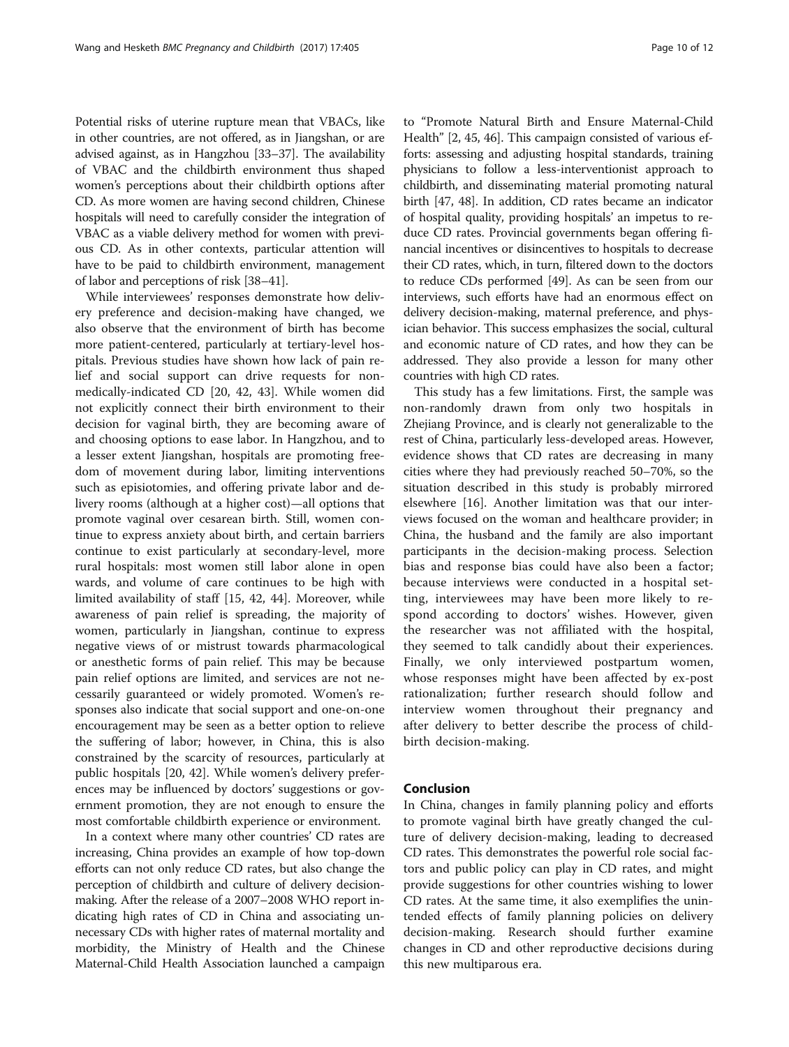Potential risks of uterine rupture mean that VBACs, like in other countries, are not offered, as in Jiangshan, or are advised against, as in Hangzhou [\[33](#page-11-0)–[37](#page-11-0)]. The availability of VBAC and the childbirth environment thus shaped women's perceptions about their childbirth options after CD. As more women are having second children, Chinese hospitals will need to carefully consider the integration of VBAC as a viable delivery method for women with previous CD. As in other contexts, particular attention will have to be paid to childbirth environment, management of labor and perceptions of risk [\[38](#page-11-0)–[41](#page-11-0)].

While interviewees' responses demonstrate how delivery preference and decision-making have changed, we also observe that the environment of birth has become more patient-centered, particularly at tertiary-level hospitals. Previous studies have shown how lack of pain relief and social support can drive requests for nonmedically-indicated CD [[20,](#page-10-0) [42](#page-11-0), [43](#page-11-0)]. While women did not explicitly connect their birth environment to their decision for vaginal birth, they are becoming aware of and choosing options to ease labor. In Hangzhou, and to a lesser extent Jiangshan, hospitals are promoting freedom of movement during labor, limiting interventions such as episiotomies, and offering private labor and delivery rooms (although at a higher cost)—all options that promote vaginal over cesarean birth. Still, women continue to express anxiety about birth, and certain barriers continue to exist particularly at secondary-level, more rural hospitals: most women still labor alone in open wards, and volume of care continues to be high with limited availability of staff [[15](#page-10-0), [42](#page-11-0), [44](#page-11-0)]. Moreover, while awareness of pain relief is spreading, the majority of women, particularly in Jiangshan, continue to express negative views of or mistrust towards pharmacological or anesthetic forms of pain relief. This may be because pain relief options are limited, and services are not necessarily guaranteed or widely promoted. Women's responses also indicate that social support and one-on-one encouragement may be seen as a better option to relieve the suffering of labor; however, in China, this is also constrained by the scarcity of resources, particularly at public hospitals [[20](#page-10-0), [42\]](#page-11-0). While women's delivery preferences may be influenced by doctors' suggestions or government promotion, they are not enough to ensure the most comfortable childbirth experience or environment.

In a context where many other countries' CD rates are increasing, China provides an example of how top-down efforts can not only reduce CD rates, but also change the perception of childbirth and culture of delivery decisionmaking. After the release of a 2007–2008 WHO report indicating high rates of CD in China and associating unnecessary CDs with higher rates of maternal mortality and morbidity, the Ministry of Health and the Chinese Maternal-Child Health Association launched a campaign to "Promote Natural Birth and Ensure Maternal-Child Health" [\[2,](#page-10-0) [45, 46](#page-11-0)]. This campaign consisted of various efforts: assessing and adjusting hospital standards, training physicians to follow a less-interventionist approach to childbirth, and disseminating material promoting natural birth [[47](#page-11-0), [48\]](#page-11-0). In addition, CD rates became an indicator of hospital quality, providing hospitals' an impetus to reduce CD rates. Provincial governments began offering financial incentives or disincentives to hospitals to decrease their CD rates, which, in turn, filtered down to the doctors to reduce CDs performed [[49](#page-11-0)]. As can be seen from our interviews, such efforts have had an enormous effect on delivery decision-making, maternal preference, and physician behavior. This success emphasizes the social, cultural and economic nature of CD rates, and how they can be addressed. They also provide a lesson for many other countries with high CD rates.

This study has a few limitations. First, the sample was non-randomly drawn from only two hospitals in Zhejiang Province, and is clearly not generalizable to the rest of China, particularly less-developed areas. However, evidence shows that CD rates are decreasing in many cities where they had previously reached 50–70%, so the situation described in this study is probably mirrored elsewhere [[16](#page-10-0)]. Another limitation was that our interviews focused on the woman and healthcare provider; in China, the husband and the family are also important participants in the decision-making process. Selection bias and response bias could have also been a factor; because interviews were conducted in a hospital setting, interviewees may have been more likely to respond according to doctors' wishes. However, given the researcher was not affiliated with the hospital, they seemed to talk candidly about their experiences. Finally, we only interviewed postpartum women, whose responses might have been affected by ex-post rationalization; further research should follow and interview women throughout their pregnancy and after delivery to better describe the process of childbirth decision-making.

### Conclusion

In China, changes in family planning policy and efforts to promote vaginal birth have greatly changed the culture of delivery decision-making, leading to decreased CD rates. This demonstrates the powerful role social factors and public policy can play in CD rates, and might provide suggestions for other countries wishing to lower CD rates. At the same time, it also exemplifies the unintended effects of family planning policies on delivery decision-making. Research should further examine changes in CD and other reproductive decisions during this new multiparous era.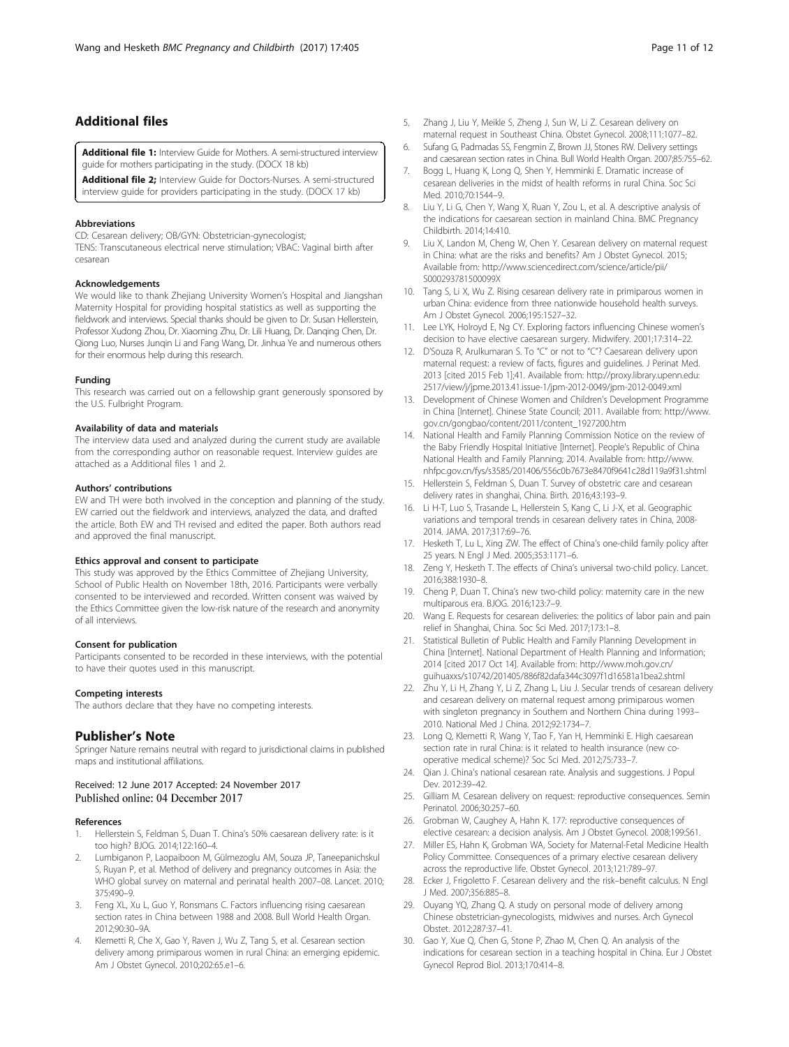### <span id="page-10-0"></span>Additional files

[Additional file 1:](dx.doi.org/10.1186/s12884-017-1597-9) Interview Guide for Mothers. A semi-structured interview guide for mothers participating in the study. (DOCX 18 kb)

[Additional file 2;](dx.doi.org/10.1186/s12884-017-1597-9) Interview Guide for Doctors-Nurses. A semi-structured interview guide for providers participating in the study. (DOCX 17 kb)

#### Abbreviations

CD: Cesarean delivery; OB/GYN: Obstetrician-gynecologist;

TENS: Transcutaneous electrical nerve stimulation; VBAC: Vaginal birth after cesarean

#### Acknowledgements

We would like to thank Zhejiang University Women's Hospital and Jiangshan Maternity Hospital for providing hospital statistics as well as supporting the fieldwork and interviews. Special thanks should be given to Dr. Susan Hellerstein, Professor Xudong Zhou, Dr. Xiaoming Zhu, Dr. Lili Huang, Dr. Danqing Chen, Dr. Qiong Luo, Nurses Junqin Li and Fang Wang, Dr. Jinhua Ye and numerous others for their enormous help during this research.

#### Funding

This research was carried out on a fellowship grant generously sponsored by the U.S. Fulbright Program.

#### Availability of data and materials

The interview data used and analyzed during the current study are available from the corresponding author on reasonable request. Interview guides are attached as a Additional files 1 and 2.

#### Authors' contributions

EW and TH were both involved in the conception and planning of the study. EW carried out the fieldwork and interviews, analyzed the data, and drafted the article. Both EW and TH revised and edited the paper. Both authors read and approved the final manuscript.

#### Ethics approval and consent to participate

This study was approved by the Ethics Committee of Zhejiang University, School of Public Health on November 18th, 2016. Participants were verbally consented to be interviewed and recorded. Written consent was waived by the Ethics Committee given the low-risk nature of the research and anonymity of all interviews.

#### Consent for publication

Participants consented to be recorded in these interviews, with the potential to have their quotes used in this manuscript.

#### Competing interests

The authors declare that they have no competing interests.

### Publisher's Note

Springer Nature remains neutral with regard to jurisdictional claims in published maps and institutional affiliations.

### Received: 12 June 2017 Accepted: 24 November 2017 Published online: 04 December 2017

#### References

- 1. Hellerstein S, Feldman S, Duan T. China's 50% caesarean delivery rate: is it too high? BJOG. 2014;122:160–4.
- 2. Lumbiganon P, Laopaiboon M, Gülmezoglu AM, Souza JP, Taneepanichskul S, Ruyan P, et al. Method of delivery and pregnancy outcomes in Asia: the WHO global survey on maternal and perinatal health 2007–08. Lancet. 2010; 375:490–9.
- 3. Feng XL, Xu L, Guo Y, Ronsmans C. Factors influencing rising caesarean section rates in China between 1988 and 2008. Bull World Health Organ. 2012;90:30–9A.
- Klemetti R, Che X, Gao Y, Raven J, Wu Z, Tang S, et al. Cesarean section delivery among primiparous women in rural China: an emerging epidemic. Am J Obstet Gynecol. 2010;202:65.e1–6.
- and caesarean section rates in China. Bull World Health Organ. 2007;85:755–62.
- 7. Bogg L, Huang K, Long Q, Shen Y, Hemminki E. Dramatic increase of cesarean deliveries in the midst of health reforms in rural China. Soc Sci Med. 2010;70:1544–9.
- 8. Liu Y, Li G, Chen Y, Wang X, Ruan Y, Zou L, et al. A descriptive analysis of the indications for caesarean section in mainland China. BMC Pregnancy Childbirth. 2014;14:410.
- Liu X, Landon M, Cheng W, Chen Y. Cesarean delivery on maternal request in China: what are the risks and benefits? Am J Obstet Gynecol. 2015; Available from: [http://www.sciencedirect.com/science/article/pii/](http://www.sciencedirect.com/science/article/pii/S000293781500099X) [S000293781500099X](http://www.sciencedirect.com/science/article/pii/S000293781500099X)
- 10. Tang S, Li X, Wu Z. Rising cesarean delivery rate in primiparous women in urban China: evidence from three nationwide household health surveys. Am J Obstet Gynecol. 2006;195:1527–32.
- 11. Lee LYK, Holroyd E, Ng CY. Exploring factors influencing Chinese women's decision to have elective caesarean surgery. Midwifery. 2001;17:314–22.
- 12. D'Souza R, Arulkumaran S. To "C" or not to "C"? Caesarean delivery upon maternal request: a review of facts, figures and guidelines. J Perinat Med. 2013 [cited 2015 Feb 1];41. Available from: [http://proxy.library.upenn.edu:](http://proxy.library.upenn.edu:2517/view/j/jpme.2013.41.issue-1/jpm-2012-0049/jpm-2012-0049.xml) [2517/view/j/jpme.2013.41.issue-1/jpm-2012-0049/jpm-2012-0049.xml](http://proxy.library.upenn.edu:2517/view/j/jpme.2013.41.issue-1/jpm-2012-0049/jpm-2012-0049.xml)
- 13. Development of Chinese Women and Children's Development Programme in China [Internet]. Chinese State Council; 2011. Available from: [http://www.](http://www.gov.cn/gongbao/content/2011/content_1927200.htm) [gov.cn/gongbao/content/2011/content\\_1927200.htm](http://www.gov.cn/gongbao/content/2011/content_1927200.htm)
- 14. National Health and Family Planning Commission Notice on the review of the Baby Friendly Hospital Initiative [Internet]. People's Republic of China National Health and Family Planning; 2014. Available from: [http://www.](http://www.nhfpc.gov.cn/fys/s3585/201406/556c0b7673e8470f9641c28d119a9f31.shtml) [nhfpc.gov.cn/fys/s3585/201406/556c0b7673e8470f9641c28d119a9f31.shtml](http://www.nhfpc.gov.cn/fys/s3585/201406/556c0b7673e8470f9641c28d119a9f31.shtml)
- 15. Hellerstein S, Feldman S, Duan T. Survey of obstetric care and cesarean delivery rates in shanghai, China. Birth. 2016;43:193–9.
- 16. Li H-T, Luo S, Trasande L, Hellerstein S, Kang C, Li J-X, et al. Geographic variations and temporal trends in cesarean delivery rates in China, 2008- 2014. JAMA. 2017;317:69–76.
- 17. Hesketh T, Lu L, Xing ZW. The effect of China's one-child family policy after 25 years. N Engl J Med. 2005;353:1171–6.
- 18. Zeng Y, Hesketh T. The effects of China's universal two-child policy. Lancet. 2016;388:1930–8.
- 19. Cheng P, Duan T. China's new two-child policy: maternity care in the new multiparous era. BJOG. 2016;123:7–9.
- 20. Wang E. Requests for cesarean deliveries: the politics of labor pain and pain relief in Shanghai, China. Soc Sci Med. 2017;173:1–8.
- 21. Statistical Bulletin of Public Health and Family Planning Development in China [Internet]. National Department of Health Planning and Information; 2014 [cited 2017 Oct 14]. Available from: [http://www.moh.gov.cn/](http://www.moh.gov.cn/guihuaxxs/s10742/201405/886f82dafa344c3097f1d16581a1bea2.shtml) [guihuaxxs/s10742/201405/886f82dafa344c3097f1d16581a1bea2.shtml](http://www.moh.gov.cn/guihuaxxs/s10742/201405/886f82dafa344c3097f1d16581a1bea2.shtml)
- 22. Zhu Y, Li H, Zhang Y, Li Z, Zhang L, Liu J. Secular trends of cesarean delivery and cesarean delivery on maternal request among primiparous women with singleton pregnancy in Southern and Northern China during 1993– 2010. National Med J China. 2012;92:1734–7.
- 23. Long Q, Klemetti R, Wang Y, Tao F, Yan H, Hemminki E. High caesarean section rate in rural China: is it related to health insurance (new cooperative medical scheme)? Soc Sci Med. 2012;75:733–7.
- 24. Qian J. China's national cesarean rate. Analysis and suggestions. J Popul Dev. 2012:39–42.
- 25. Gilliam M. Cesarean delivery on request: reproductive consequences. Semin Perinatol. 2006;30:257–60.
- 26. Grobman W, Caughey A, Hahn K. 177: reproductive consequences of elective cesarean: a decision analysis. Am J Obstet Gynecol. 2008;199:S61.
- 27. Miller ES, Hahn K, Grobman WA, Society for Maternal-Fetal Medicine Health Policy Committee. Consequences of a primary elective cesarean delivery across the reproductive life. Obstet Gynecol. 2013;121:789–97.
- 28. Ecker J, Frigoletto F. Cesarean delivery and the risk–benefit calculus. N Engl J Med. 2007;356:885–8.
- 29. Ouyang YQ, Zhang Q. A study on personal mode of delivery among Chinese obstetrician-gynecologists, midwives and nurses. Arch Gynecol Obstet. 2012;287:37–41.
- 30. Gao Y, Xue Q, Chen G, Stone P, Zhao M, Chen Q. An analysis of the indications for cesarean section in a teaching hospital in China. Eur J Obstet Gynecol Reprod Biol. 2013;170:414–8.